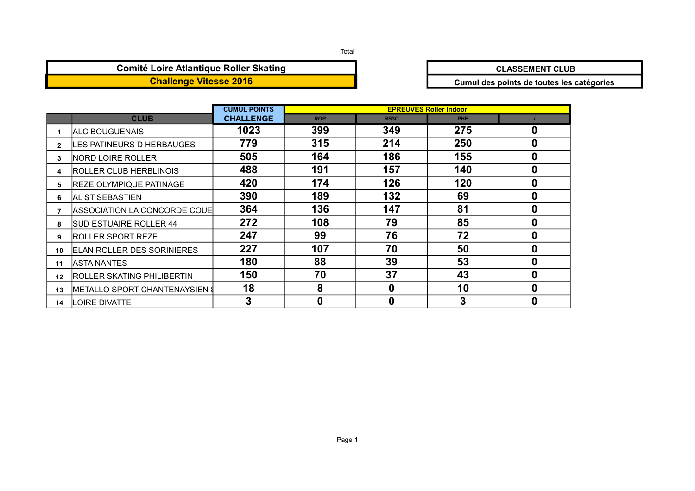#### Total

## **Comité Loire Atlantique Roller Skating**<br> **CLASSEMENT CLUB**

**Challenge Vitesse 2016 Cumul des points de toutes les catégories**

|                  |                                   | <b>CUMUL POINTS</b> |            |                   | <b>EPREUVES Roller Indoor</b> |   |
|------------------|-----------------------------------|---------------------|------------|-------------------|-------------------------------|---|
|                  | <b>CLUB</b>                       | <b>CHALLENGE</b>    | <b>ROP</b> | RS <sub>3</sub> C | <b>PHB</b>                    |   |
|                  | <b>IALC BOUGUENAIS</b>            | 1023                | 399        | 349               | 275                           | 0 |
| $\mathbf{2}$     | LES PATINEURS D HERBAUGES         | 779                 | 315        | 214               | 250                           | 0 |
| 3                | <b>NORD LOIRE ROLLER</b>          | 505                 | 164        | 186               | 155                           | 0 |
| 4                | ROLLER CLUB HERBLINOIS            | 488                 | 191        | 157               | 140                           | 0 |
| 5.               | <b>REZE OLYMPIQUE PATINAGE</b>    | 420                 | 174        | 126               | 120                           | 0 |
| 6.               | <b>AL ST SEBASTIEN</b>            | 390                 | 189        | 132               | 69                            | 0 |
|                  | ASSOCIATION LA CONCORDE COUE      | 364                 | 136        | 147               | 81                            | 0 |
| 8                | <b>SUD ESTUAIRE ROLLER 44</b>     | 272                 | 108        | 79                | 85                            | 0 |
| 9                | IROLLER SPORT REZE                | 247                 | 99         | 76                | 72                            | 0 |
| 10               | <b>ELAN ROLLER DES SORINIERES</b> | 227                 | 107        | 70                | 50                            | 0 |
| 11               | <b>IASTA NANTES</b>               | 180                 | 88         | 39                | 53                            | 0 |
| 12 <sup>12</sup> | ROLLER SKATING PHILIBERTIN        | 150                 | 70         | 37                | 43                            | 0 |
| 13               |                                   | 18                  | 8          | $\mathbf 0$       | 10                            | 0 |
| 14               | <b>LOIRE DIVATTE</b>              |                     |            | 0                 | 3                             | 0 |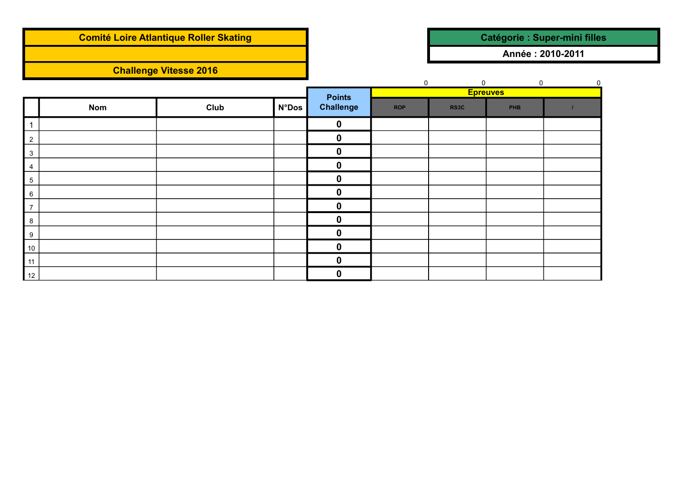## **Comité Loire Atlantique Roller Skating and Catégorie : Super-mini filles**

## **Challenge Vitesse 2016**

**Année : 2010-2011**

|                  |            |      |              |                  | $\mathbf 0$ | $\mathbf 0$ | $\mathbf 0$     | $\mathsf 0$ |
|------------------|------------|------|--------------|------------------|-------------|-------------|-----------------|-------------|
|                  |            |      |              | <b>Points</b>    |             |             | <b>Epreuves</b> |             |
|                  | <b>Nom</b> | Club | <b>N°Dos</b> | <b>Challenge</b> | <b>ROP</b>  | RS3C        | <b>PHB</b>      |             |
| 1                |            |      |              | $\boldsymbol{0}$ |             |             |                 |             |
| $\overline{2}$   |            |      |              | $\boldsymbol{0}$ |             |             |                 |             |
| $\mathbf{3}$     |            |      |              | 0                |             |             |                 |             |
| $\overline{4}$   |            |      |              | 0                |             |             |                 |             |
| 5                |            |      |              | 0                |             |             |                 |             |
| 6                |            |      |              | 0                |             |             |                 |             |
| $\overline{7}$   |            |      |              | 0                |             |             |                 |             |
| 8                |            |      |              | 0                |             |             |                 |             |
| $\boldsymbol{9}$ |            |      |              | 0                |             |             |                 |             |
| $10\,$           |            |      |              | 0                |             |             |                 |             |
| 11               |            |      |              | 0                |             |             |                 |             |
| 12               |            |      |              | 0                |             |             |                 |             |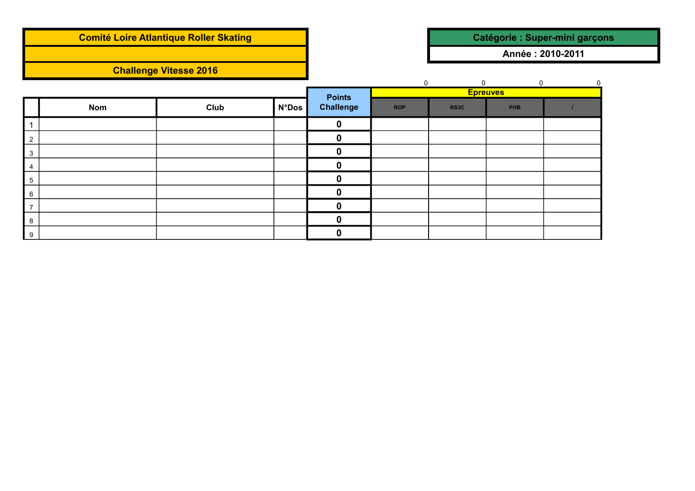|                |            | <b>Comité Loire Atlantique Roller Skating</b> |              |                                   |             |                   |                                | Catégorie : Super-mini garçons |
|----------------|------------|-----------------------------------------------|--------------|-----------------------------------|-------------|-------------------|--------------------------------|--------------------------------|
|                |            |                                               |              |                                   |             |                   | Année: 2010-2011               |                                |
|                |            | <b>Challenge Vitesse 2016</b>                 |              |                                   |             |                   |                                |                                |
|                |            |                                               |              |                                   | $\mathbf 0$ | $\mathbf{0}$      | $\mathbf 0$<br><b>Epreuves</b> |                                |
|                | <b>Nom</b> | Club                                          | <b>N°Dos</b> | <b>Points</b><br><b>Challenge</b> | <b>ROP</b>  | RS <sub>3</sub> C | <b>PHB</b>                     |                                |
|                |            |                                               |              | $\mathbf 0$                       |             |                   |                                |                                |
| $\overline{2}$ |            |                                               |              | 0                                 |             |                   |                                |                                |
| 3              |            |                                               |              | 0                                 |             |                   |                                |                                |
| 4              |            |                                               |              | U                                 |             |                   |                                |                                |
| $\,$ 5 $\,$    |            |                                               |              | 0                                 |             |                   |                                |                                |
| 6              |            |                                               |              | 0                                 |             |                   |                                |                                |
| $\overline{7}$ |            |                                               |              | $\bf{0}$                          |             |                   |                                |                                |
| 8              |            |                                               |              | $\mathbf 0$                       |             |                   |                                |                                |
| 9              |            |                                               |              | 0                                 |             |                   |                                |                                |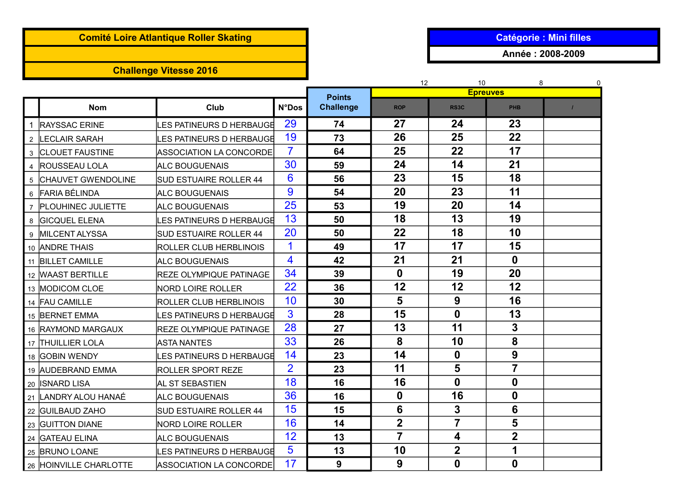## **Comité Loire Atlantique Roller Skating and Catégorie in the Catégorie : Mini filles**

# **Challenge Vitesse 2016**

**Année : 2008-2009**

|                |                        |                                |                |                                   | 12               | 0                                    |                         |  |
|----------------|------------------------|--------------------------------|----------------|-----------------------------------|------------------|--------------------------------------|-------------------------|--|
|                | <b>Nom</b>             | Club                           | <b>N°Dos</b>   | <b>Points</b><br><b>Challenge</b> | <b>ROP</b>       | <b>Epreuves</b><br>RS <sub>3</sub> C | <b>PHB</b>              |  |
|                |                        |                                |                |                                   |                  |                                      |                         |  |
|                | <b>RAYSSAC ERINE</b>   | LES PATINEURS D HERBAUGE       | 29             | 74                                | 27               | 24                                   | 23                      |  |
| $\overline{2}$ | <b>LECLAIR SARAH</b>   | ES PATINEURS D HERBAUGE        | 19             | 73                                | 26               | 25                                   | 22                      |  |
|                | 3 CLOUET FAUSTINE      | ASSOCIATION LA CONCORDE        | 7              | 64                                | 25               | 22                                   | 17                      |  |
| $\overline{4}$ | <b>ROUSSEAU LOLA</b>   | <b>ALC BOUGUENAIS</b>          | 30             | 59                                | 24               | 14                                   | 21                      |  |
|                | 5 CHAUVET GWENDOLINE   | <b>SUD ESTUAIRE ROLLER 44</b>  | 6              | 56                                | 23               | 15                                   | 18                      |  |
|                | 6 FARIA BÉLINDA        | <b>ALC BOUGUENAIS</b>          | 9              | 54                                | 20               | 23                                   | 11                      |  |
|                | 7 PLOUHINEC JULIETTE   | <b>ALC BOUGUENAIS</b>          | 25             | 53                                | 19               | 20                                   | 14                      |  |
| 8              | <b>GICQUEL ELENA</b>   | LES PATINEURS D HERBAUGE       | 13             | 50                                | 18               | 13                                   | 19                      |  |
| 9              | <b>IMILCENT ALYSSA</b> | <b>SUD ESTUAIRE ROLLER 44</b>  | 20             | 50                                | 22               | 18                                   | 10                      |  |
|                | 10 ANDRE THAIS         | <b>ROLLER CLUB HERBLINOIS</b>  | 1              | 49                                | 17               | 17                                   | 15                      |  |
|                | 11 BILLET CAMILLE      | ALC BOUGUENAIS                 | 4              | 42                                | 21               | 21                                   | $\mathbf 0$             |  |
|                | 12 WAAST BERTILLE      | <b>REZE OLYMPIQUE PATINAGE</b> | 34             | 39                                | $\boldsymbol{0}$ | 19                                   | 20                      |  |
|                | 13 MODICOM CLOE        | <b>NORD LOIRE ROLLER</b>       | 22             | 36                                | 12               | 12                                   | 12                      |  |
|                | 14 FAU CAMILLE         | ROLLER CLUB HERBLINOIS         | 10             | 30                                | 5                | 9                                    | 16                      |  |
|                | 15 BERNET EMMA         | LES PATINEURS D HERBAUGE       | 3              | 28                                | 15               | $\mathbf 0$                          | 13                      |  |
|                | 16 RAYMOND MARGAUX     | <b>REZE OLYMPIQUE PATINAGE</b> | 28             | 27                                | 13               | 11                                   | $\mathbf{3}$            |  |
|                | 17 THUILLIER LOLA      | <b>ASTA NANTES</b>             | 33             | 26                                | 8                | 10                                   | 8                       |  |
|                | 18 GOBIN WENDY         | LES PATINEURS D HERBAUGE       | 14             | 23                                | 14               | $\boldsymbol{0}$                     | 9                       |  |
|                | 19 AUDEBRAND EMMA      | <b>ROLLER SPORT REZE</b>       | $\overline{2}$ | 23                                | 11               | 5                                    | 7                       |  |
|                | 20  ISNARD LISA        | AL ST SEBASTIEN                | 18             | 16                                | 16               | $\mathbf 0$                          | $\boldsymbol{0}$        |  |
|                | 21 LANDRY ALOU HANAÉ   | ALC BOUGUENAIS                 | 36             | 16                                | $\boldsymbol{0}$ | 16                                   | $\mathbf 0$             |  |
|                | 22 GUILBAUD ZAHO       | SUD ESTUAIRE ROLLER 44         | 15             | 15                                | 6                | 3                                    | 6                       |  |
|                | 23 GUITTON DIANE       | <b>NORD LOIRE ROLLER</b>       | 16             | 14                                | $\overline{2}$   | $\overline{7}$                       | 5                       |  |
|                | 24 GATEAU ELINA        | <b>ALC BOUGUENAIS</b>          | 12             | 13                                | $\overline{7}$   | 4                                    | $\overline{\mathbf{2}}$ |  |
|                | 25 BRUNO LOANE         | LES PATINEURS D HERBAUGE       | 5              | 13                                | 10               | $\overline{2}$                       | 1                       |  |
|                | 26 HOINVILLE CHARLOTTE | <b>ASSOCIATION LA CONCORDE</b> | 17             | 9                                 | 9                | $\mathbf 0$                          | $\bf{0}$                |  |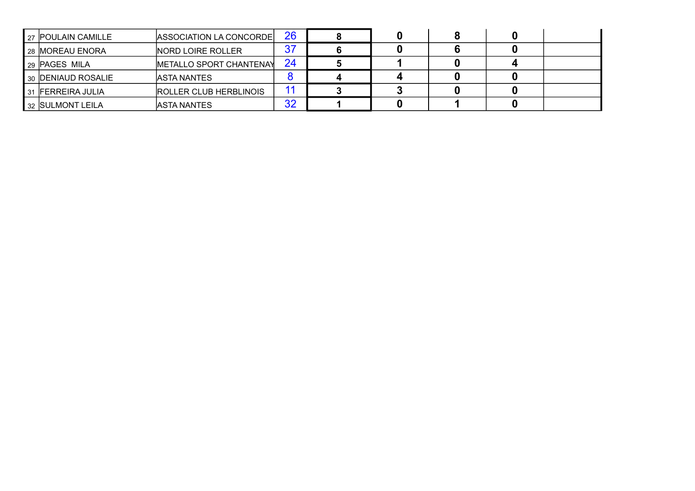|    | 27 POULAIN CAMILLE     | ASSOCIATION LA CONCORDE       | 26              |  |  |  |
|----|------------------------|-------------------------------|-----------------|--|--|--|
|    | 28 MOREAU ENORA        | NORD LOIRE ROLLER             | 37              |  |  |  |
|    | 29  PAGES MILA         | METALLO SPORT CHANTENAY       | 24              |  |  |  |
|    | 30 DENIAUD ROSALIE     | <b>IASTA NANTES</b>           |                 |  |  |  |
| 31 | <b>IFERREIRA JULIA</b> | <b>ROLLER CLUB HERBLINOIS</b> | $\overline{11}$ |  |  |  |
|    | 32 SULMONT LEILA       | <b>IASTA NANTES</b>           | 32              |  |  |  |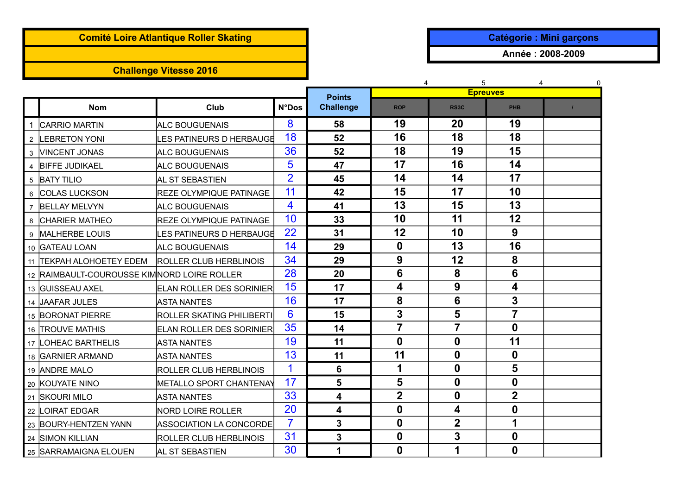# **Comité Loire Atlantique Roller Skating and Catégorie : Mini garçons**

## **Challenge Vitesse 2016**

**Année : 2008-2009**

|                |                                             |                                  |                |                            | 4                | 5                | 4<br><b>Epreuves</b> | 0 |
|----------------|---------------------------------------------|----------------------------------|----------------|----------------------------|------------------|------------------|----------------------|---|
|                | <b>Nom</b>                                  | <b>Club</b>                      | <b>N°Dos</b>   | <b>Points</b><br>Challenge | <b>ROP</b>       | RS3C             | <b>PHB</b>           |   |
|                | <b>CARRIO MARTIN</b>                        | <b>ALC BOUGUENAIS</b>            | 8              | 58                         | 19               | 20               | 19                   |   |
|                | 2 LEBRETON YONI                             | LES PATINEURS D HERBAUGE         | 18             | 52                         | 16               | 18               | 18                   |   |
|                | 3 <b>VINCENT JONAS</b>                      | <b>ALC BOUGUENAIS</b>            | 36             | 52                         | 18               | 19               | 15                   |   |
|                | 4 BIFFE JUDIKAEL                            | <b>ALC BOUGUENAIS</b>            | 5              | 47                         | 17               | 16               | 14                   |   |
|                | 5 BATY TILIO                                | AL ST SEBASTIEN                  | $\overline{2}$ | 45                         | 14               | 14               | 17                   |   |
| 6              | <b>COLAS LUCKSON</b>                        | <b>REZE OLYMPIQUE PATINAGE</b>   | 11             | 42                         | 15               | 17               | 10                   |   |
| $\overline{7}$ | <b>BELLAY MELVYN</b>                        | <b>ALC BOUGUENAIS</b>            | 4              | 41                         | 13               | 15               | 13                   |   |
|                | 8 CHARIER MATHEO                            | <b>REZE OLYMPIQUE PATINAGE</b>   | 10             | 33                         | 10               | 11               | 12                   |   |
| 9              | MALHERBE LOUIS                              | LES PATINEURS D HERBAUGE         | 22             | 31                         | 12               | 10               | 9                    |   |
|                | 10 GATEAU LOAN                              | <b>ALC BOUGUENAIS</b>            | 14             | 29                         | $\mathbf 0$      | 13               | 16                   |   |
|                | 11  TEKPAH ALOHOETEY EDEM                   | <b>ROLLER CLUB HERBLINOIS</b>    | 34             | 29                         | 9                | 12               | 8                    |   |
|                | 12 RAIMBAULT-COUROUSSE KIMNORD LOIRE ROLLER |                                  | 28             | 20                         | $6\phantom{1}6$  | 8                | 6                    |   |
|                | 13 GUISSEAU AXEL                            | <b>ELAN ROLLER DES SORINIER</b>  | 15             | 17                         | 4                | 9                | 4                    |   |
|                | 14 JAAFAR JULES                             | <b>ASTA NANTES</b>               | 16             | 17                         | 8                | 6                | 3                    |   |
|                | 15 BORONAT PIERRE                           | <b>ROLLER SKATING PHILIBERTI</b> | 6              | 15                         | 3                | 5                | 7                    |   |
|                | 16 TROUVE MATHIS                            | <b>ELAN ROLLER DES SORINIER</b>  | 35             | 14                         | $\overline{7}$   | $\overline{7}$   | $\mathbf{0}$         |   |
|                | 17 LOHEAC BARTHELIS                         | <b>ASTA NANTES</b>               | 19             | 11                         | $\mathbf 0$      | $\mathbf 0$      | 11                   |   |
|                | 18 GARNIER ARMAND                           | <b>ASTA NANTES</b>               | 13             | 11                         | 11               | $\boldsymbol{0}$ | $\mathbf 0$          |   |
|                | 19 ANDRE MALO                               | ROLLER CLUB HERBLINOIS           | $\mathbf 1$    | $6\phantom{1}6$            | 1                | $\mathbf 0$      | 5                    |   |
|                | 20 KOUYATE NINO                             | <b>METALLO SPORT CHANTENAY</b>   | 17             | 5                          | 5                | $\boldsymbol{0}$ | $\mathbf 0$          |   |
|                | 21 SKOURI MILO                              | <b>ASTA NANTES</b>               | 33             | 4                          | $\overline{2}$   | $\boldsymbol{0}$ | $\overline{2}$       |   |
|                | 22 LOIRAT EDGAR                             | <b>NORD LOIRE ROLLER</b>         | 20             | 4                          | $\boldsymbol{0}$ | 4                | 0                    |   |
|                | 23 BOURY-HENTZEN YANN                       | ASSOCIATION LA CONCORDE          | $\overline{7}$ | $\mathbf{3}$               | $\boldsymbol{0}$ | $\mathbf 2$      | 1                    |   |
|                | 24 SIMON KILLIAN                            | ROLLER CLUB HERBLINOIS           | 31             | 3                          | $\boldsymbol{0}$ | 3                | 0                    |   |
|                | 25 SARRAMAIGNA ELOUEN                       | AL ST SEBASTIEN                  | 30             | 1                          | $\boldsymbol{0}$ | 1                | 0                    |   |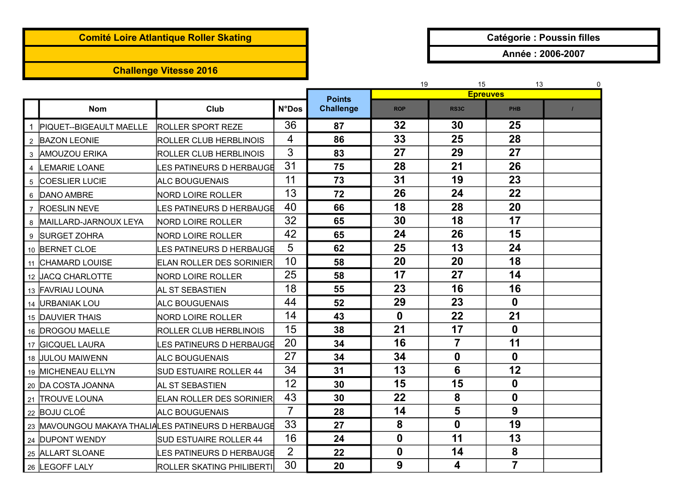# **Comité Loire Atlantique Roller Skating and Catégorie in the Catégorie : Poussin filles**

## **Challenge Vitesse 2016**

**Année : 2006-2007**

|                           |                                                     |                |                  | 15<br>19<br>13 |                   |                  |  |
|---------------------------|-----------------------------------------------------|----------------|------------------|----------------|-------------------|------------------|--|
|                           |                                                     |                | <b>Points</b>    |                | <b>Epreuves</b>   |                  |  |
| <b>Nom</b>                | Club                                                | <b>N°Dos</b>   | <b>Challenge</b> | <b>ROP</b>     | RS <sub>3</sub> C | <b>PHB</b>       |  |
| 1 PIQUET--BIGEAULT MAELLE | <b>ROLLER SPORT REZE</b>                            | 36             | 87               | 32             | 30                | 25               |  |
| 2 BAZON LEONIE            | <b>ROLLER CLUB HERBLINOIS</b>                       | 4              | 86               | 33             | 25                | 28               |  |
| 3 AMOUZOU ERIKA           | <b>ROLLER CLUB HERBLINOIS</b>                       | 3              | 83               | 27             | 29                | 27               |  |
| 4 LEMARIE LOANE           | LES PATINEURS D HERBAUGE                            | 31             | 75               | 28             | 21                | 26               |  |
| 5 COESLIER LUCIE          | <b>ALC BOUGUENAIS</b>                               | 11             | 73               | 31             | 19                | 23               |  |
| 6 DANO AMBRE              | <b>NORD LOIRE ROLLER</b>                            | 13             | 72               | 26             | 24                | 22               |  |
| 7 ROESLIN NEVE            | LES PATINEURS D HERBAUGE                            | 40             | 66               | 18             | 28                | 20               |  |
| 8  MAILLARD-JARNOUX LEYA  | <b>NORD LOIRE ROLLER</b>                            | 32             | 65               | 30             | 18                | 17               |  |
| 9 SURGET ZOHRA            | <b>NORD LOIRE ROLLER</b>                            | 42             | 65               | 24             | 26                | 15               |  |
| 10 BERNET CLOE            | LES PATINEURS D HERBAUGE                            | 5              | 62               | 25             | 13                | 24               |  |
| 11 CHAMARD LOUISE         | <b>ELAN ROLLER DES SORINIER</b>                     | 10             | 58               | 20             | 20                | 18               |  |
| 12 JACQ CHARLOTTE         | <b>NORD LOIRE ROLLER</b>                            | 25             | 58               | 17             | 27                | 14               |  |
| 13 FAVRIAU LOUNA          | AL ST SEBASTIEN                                     | 18             | 55               | 23             | 16                | 16               |  |
| 14  URBANIAK LOU          | ALC BOUGUENAIS                                      | 44             | 52               | 29             | 23                | $\boldsymbol{0}$ |  |
| 15 DAUVIER THAIS          | <b>NORD LOIRE ROLLER</b>                            | 14             | 43               | $\mathbf 0$    | 22                | 21               |  |
| 16 DROGOU MAELLE          | ROLLER CLUB HERBLINOIS                              | 15             | 38               | 21             | 17                | $\mathbf 0$      |  |
| 17 GICQUEL LAURA          | LES PATINEURS D HERBAUGE                            | 20             | 34               | 16             | 7                 | 11               |  |
| 18 JULOU MAIWENN          | <b>ALC BOUGUENAIS</b>                               | 27             | 34               | 34             | $\mathbf 0$       | $\mathbf 0$      |  |
| 19 MICHENEAU ELLYN        | <b>SUD ESTUAIRE ROLLER 44</b>                       | 34             | 31               | 13             | $6\phantom{1}$    | 12               |  |
| 20 DA COSTA JOANNA        | AL ST SEBASTIEN                                     | 12             | 30               | 15             | 15                | $\mathbf 0$      |  |
| 21 TROUVE LOUNA           | <b>ELAN ROLLER DES SORINIER</b>                     | 43             | 30               | 22             | 8                 | $\boldsymbol{0}$ |  |
| 22 BOJU CLOÉ              | <b>ALC BOUGUENAIS</b>                               | $\overline{7}$ | 28               | 14             | 5                 | 9                |  |
|                           | 23  MAVOUNGOU MAKAYA THALIALES PATINEURS D HERBAUGE | 33             | 27               | 8              | $\mathbf 0$       | 19               |  |
| 24 DUPONT WENDY           | SUD ESTUAIRE ROLLER 44                              | 16             | 24               | $\mathbf 0$    | 11                | 13               |  |
| 25 ALLART SLOANE          | LES PATINEURS D HERBAUGE                            | $\overline{2}$ | 22               | $\mathbf 0$    | 14                | 8                |  |
| 26 LEGOFF LALY            | ROLLER SKATING PHILIBERTI                           | 30             | 20               | 9              | 4                 | $\overline{7}$   |  |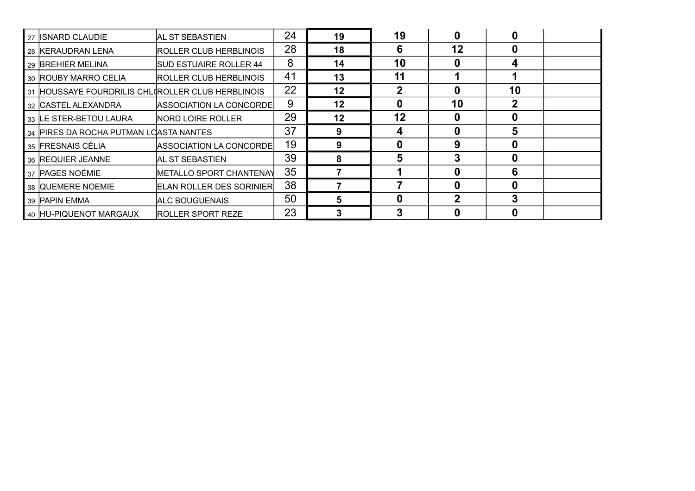| 27 | IISNARD CLAUDIE                                | IAL ST SEBASTIEN                | 24 | 19 | 19           |             |    |  |
|----|------------------------------------------------|---------------------------------|----|----|--------------|-------------|----|--|
|    | 28 KERAUDRAN LENA                              | ROLLER CLUB HERBLINOIS          | 28 | 18 | 6            | 12          |    |  |
|    | 29 BREHIER MELINA                              | <b>SUD ESTUAIRE ROLLER 44</b>   | 8  | 14 | 10           | 0           | 4  |  |
|    | 30 ROUBY MARRO CELIA                           | <b>ROLLER CLUB HERBLINOIS</b>   | 41 | 13 | 11           |             |    |  |
| 31 | HOUSSAYE FOURDRILIS CHLOROLLER CLUB HERBLINOIS |                                 | 22 | 12 | $\mathbf{2}$ | Ω           | 10 |  |
|    | 32 CASTEL ALEXANDRA                            | ASSOCIATION LA CONCORDE         | 9  | 12 | 0            | 10          |    |  |
|    | 33 ILE STER-BETOU LAURA                        | <b>NORD LOIRE ROLLER</b>        | 29 | 12 | 12           | 0           |    |  |
| 34 | <b>PIRES DA ROCHA PUTMAN LOASTA NANTES</b>     |                                 | 37 | 9  | 4            | $\mathbf 0$ | 5  |  |
|    | 35 FRESNAIS CÉLIA                              | ASSOCIATION LA CONCORDE         | 19 | 9  |              | 9           |    |  |
|    | 36 REQUIER JEANNE                              | IAL ST SEBASTIEN                | 39 | 8  | 5            |             |    |  |
|    | 37 PAGES NOÉMIE                                | <b>METALLO SPORT CHANTENAY</b>  | 35 |    |              | 0           | Բ  |  |
|    | 38 QUEMERE NOEMIE                              | <b>ELAN ROLLER DES SORINIER</b> | 38 |    |              | $\bf{0}$    |    |  |
|    | 39 PAPIN EMMA                                  | <b>ALC BOUGUENAIS</b>           | 50 |    | 0            | $\mathbf 2$ |    |  |
|    | 40 HU-PIQUENOT MARGAUX                         | <b>ROLLER SPORT REZE</b>        | 23 |    |              |             |    |  |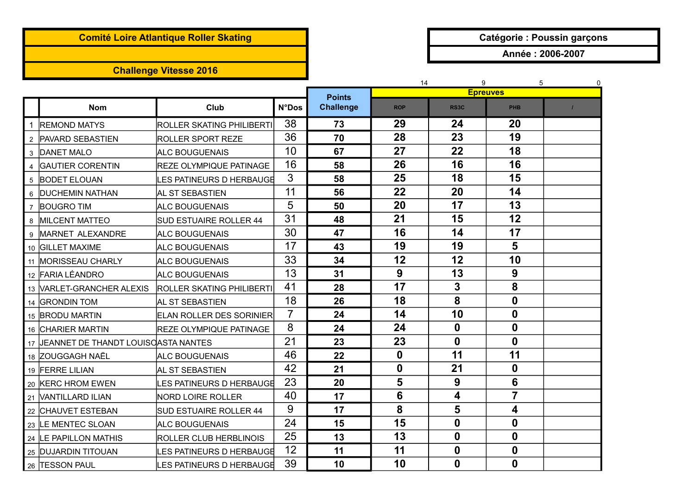## **Comité Loire Atlantique Roller Skating and Catégorie : Poussin garçons**

## **Challenge Vitesse 2016**

**Année : 2006-2007**

|                |                                        |                                  |                |                                   | 14               | 5<br>0                  |                  |  |
|----------------|----------------------------------------|----------------------------------|----------------|-----------------------------------|------------------|-------------------------|------------------|--|
|                | <b>Nom</b>                             | Club                             | <b>N°Dos</b>   | <b>Points</b><br><b>Challenge</b> | <b>ROP</b>       | <b>Epreuves</b><br>RS3C | <b>PHB</b>       |  |
|                |                                        |                                  |                |                                   |                  |                         |                  |  |
| 1              | <b>REMOND MATYS</b>                    | <b>ROLLER SKATING PHILIBERTI</b> | 38             | 73                                | 29               | 24                      | 20               |  |
| $\overline{2}$ | <b>PAVARD SEBASTIEN</b>                | <b>ROLLER SPORT REZE</b>         | 36             | 70                                | 28               | 23                      | 19               |  |
| 3              | <b>DANET MALO</b>                      | <b>ALC BOUGUENAIS</b>            | 10             | 67                                | 27               | 22                      | 18               |  |
|                | <b>GAUTIER CORENTIN</b>                | <b>REZE OLYMPIQUE PATINAGE</b>   | 16             | 58                                | 26               | 16                      | 16               |  |
| 5              | <b>BODET ELOUAN</b>                    | ES PATINEURS D HERBAUGE          | 3              | 58                                | 25               | 18                      | 15               |  |
| 6              | <b>DUCHEMIN NATHAN</b>                 | AL ST SEBASTIEN                  | 11             | 56                                | 22               | 20                      | 14               |  |
| $\overline{7}$ | <b>BOUGRO TIM</b>                      | <b>ALC BOUGUENAIS</b>            | 5              | 50                                | 20               | 17                      | 13               |  |
| 8              | <b>MILCENT MATTEO</b>                  | SUD ESTUAIRE ROLLER 44           | 31             | 48                                | 21               | 15                      | 12               |  |
|                | MARNET ALEXANDRE                       | <b>ALC BOUGUENAIS</b>            | 30             | 47                                | 16               | 14                      | 17               |  |
|                | 10 GILLET MAXIME                       | <b>ALC BOUGUENAIS</b>            | 17             | 43                                | 19               | 19                      | 5                |  |
|                | 11 MORISSEAU CHARLY                    | <b>ALC BOUGUENAIS</b>            | 33             | 34                                | 12               | 12                      | 10               |  |
|                | 12 FARIA LÉANDRO                       | <b>ALC BOUGUENAIS</b>            | 13             | 31                                | 9                | 13                      | $\boldsymbol{9}$ |  |
|                | 13 VARLET-GRANCHER ALEXIS              | <b>ROLLER SKATING PHILIBERTI</b> | 41             | 28                                | 17               | 3                       | 8                |  |
|                | 14 GRONDIN TOM                         | AL ST SEBASTIEN                  | 18             | 26                                | 18               | 8                       | $\mathbf 0$      |  |
|                | 15 BRODU MARTIN                        | <b>ELAN ROLLER DES SORINIER</b>  | $\overline{7}$ | 24                                | 14               | 10                      | $\mathbf 0$      |  |
|                | 16 CHARIER MARTIN                      | <b>REZE OLYMPIQUE PATINAGE</b>   | 8              | 24                                | 24               | $\mathbf 0$             | $\mathbf 0$      |  |
|                | 17 JEANNET DE THANDT LOUISOASTA NANTES |                                  | 21             | 23                                | 23               | $\mathbf 0$             | $\mathbf 0$      |  |
|                | 18 ZOUGGAGH NAËL                       | ALC BOUGUENAIS                   | 46             | 22                                | $\boldsymbol{0}$ | 11                      | 11               |  |
|                | 19 FERRE LILIAN                        | AL ST SEBASTIEN                  | 42             | 21                                | $\mathbf 0$      | 21                      | $\mathbf 0$      |  |
|                | 20 KERC HROM EWEN                      | ES PATINEURS D HERBAUGE          | 23             | 20                                | 5                | 9                       | 6                |  |
|                | 21 VANTILLARD ILIAN                    | <b>NORD LOIRE ROLLER</b>         | 40             | 17                                | 6                | 4                       | $\overline{7}$   |  |
|                | 22 CHAUVET ESTEBAN                     | <b>SUD ESTUAIRE ROLLER 44</b>    | 9              | 17                                | 8                | 5                       | 4                |  |
|                | 23 LE MENTEC SLOAN                     | <b>ALC BOUGUENAIS</b>            | 24             | 15                                | 15               | $\mathbf 0$             | $\mathbf 0$      |  |
|                | 24 LE PAPILLON MATHIS                  | ROLLER CLUB HERBLINOIS           | 25             | 13                                | 13               | $\mathbf 0$             | $\mathbf 0$      |  |
|                | 25 DUJARDIN TITOUAN                    | ES PATINEURS D HERBAUGE          | 12             | 11                                | 11               | $\boldsymbol{0}$        | $\mathbf 0$      |  |
|                | 26 TESSON PAUL                         | ES PATINEURS D HERBAUGE          | 39             | 10                                | 10               | $\mathbf 0$             | $\bf{0}$         |  |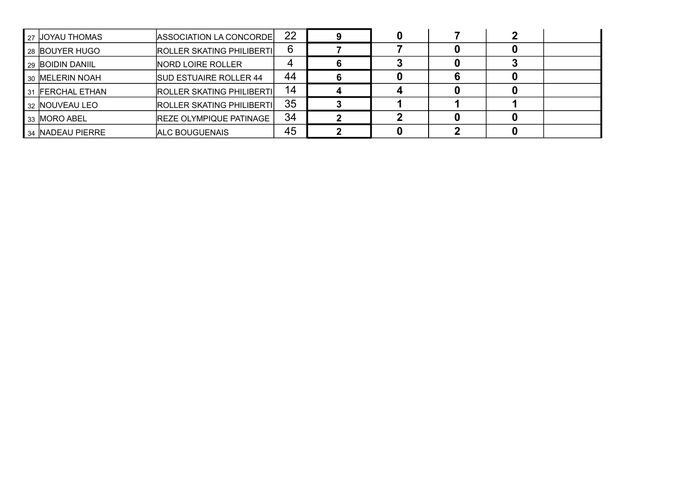| 27 IJOYAU THOMAS | ASSOCIATION LA CONCORDE          | 22 |  |  |  |
|------------------|----------------------------------|----|--|--|--|
| 28 BOUYER HUGO   | <b>ROLLER SKATING PHILIBERTI</b> | 6  |  |  |  |
| 29 BOIDIN DANIIL | NORD LOIRE ROLLER                | 4  |  |  |  |
| 30 IMELERIN NOAH | <b>SUD ESTUAIRE ROLLER 44</b>    | 44 |  |  |  |
| 31 FERCHAL ETHAN | <b>ROLLER SKATING PHILIBERTI</b> | 14 |  |  |  |
| 32 INOUVEAU LEO  | <b>ROLLER SKATING PHILIBERTI</b> | 35 |  |  |  |
| 33 MORO ABEL     | <b>REZE OLYMPIQUE PATINAGE</b>   | 34 |  |  |  |
| 34 NADEAU PIERRE | ALC BOUGUENAIS                   | 45 |  |  |  |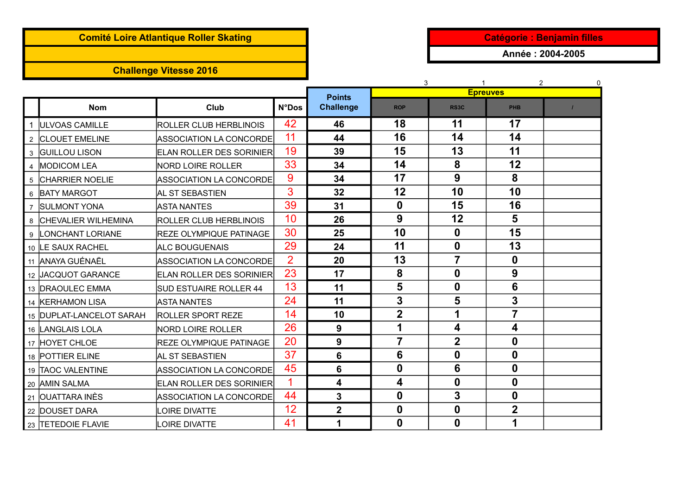# **Comité Loire Atlantique Roller Skating Catégorie : Benjamin filles**

## **Challenge Vitesse 2016**

**Année : 2004-2005**

|                |                            |                                  |                |                  | 3                | $\mathbf{1}$            | $\overline{2}$   | $\mathbf{0}$ |
|----------------|----------------------------|----------------------------------|----------------|------------------|------------------|-------------------------|------------------|--------------|
|                |                            |                                  |                | <b>Points</b>    |                  |                         | <b>Epreuves</b>  |              |
|                | <b>Nom</b>                 | Club                             | <b>N°Dos</b>   | <b>Challenge</b> | <b>ROP</b>       | <b>RS3C</b>             | <b>PHB</b>       |              |
| $\mathbf 1$    | <b>ULVOAS CAMILLE</b>      | ROLLER CLUB HERBLINOIS           | 42             | 46               | 18               | 11                      | 17               |              |
|                | 2 CLOUET EMELINE           | <b>ASSOCIATION LA CONCORDE</b>   | 11             | 44               | 16               | 14                      | 14               |              |
| 3              | <b>GUILLOU LISON</b>       | <b>IELAN ROLLER DES SORINIER</b> | 19             | 39               | 15               | 13                      | 11               |              |
| 4              | <b>MODICOM LEA</b>         | NORD LOIRE ROLLER                | 33             | 34               | 14               | 8                       | 12               |              |
| 5              | <b>CHARRIER NOELIE</b>     | <b>ASSOCIATION LA CONCORDE</b>   | 9              | 34               | 17               | 9                       | 8                |              |
| 6              | <b>BATY MARGOT</b>         | AL ST SEBASTIEN                  | 3              | 32               | 12               | 10                      | 10               |              |
| $\overline{7}$ | <b>SULMONT YONA</b>        | ASTA NANTES                      | 39             | 31               | $\boldsymbol{0}$ | 15                      | 16               |              |
| 8              | <b>CHEVALIER WILHEMINA</b> | ROLLER CLUB HERBLINOIS           | 10             | 26               | 9                | 12                      | 5                |              |
| 9              | LONCHANT LORIANE           | <b>REZE OLYMPIQUE PATINAGE</b>   | 30             | 25               | 10               | 0                       | 15               |              |
|                | 10 LE SAUX RACHEL          | <b>ALC BOUGUENAIS</b>            | 29             | 24               | 11               | $\mathbf 0$             | 13               |              |
|                | 11 ANAYA GUÉNAËL           | ASSOCIATION LA CONCORDE          | $\overline{2}$ | 20               | 13               | $\overline{7}$          | $\mathbf 0$      |              |
|                | 12 JACQUOT GARANCE         | <b>ELAN ROLLER DES SORINIER</b>  | 23             | 17               | 8                | $\mathbf 0$             | $\boldsymbol{9}$ |              |
|                | 13 DRAOULEC EMMA           | SUD ESTUAIRE ROLLER 44           | 13             | 11               | $5\phantom{1}$   | $\mathbf 0$             | 6                |              |
|                | 14 KERHAMON LISA           | ASTA NANTES                      | 24             | 11               | 3                | 5                       | 3                |              |
|                | 15 DUPLAT-LANCELOT SARAH   | <b>ROLLER SPORT REZE</b>         | 14             | 10               | $\overline{2}$   | 1                       | $\overline{7}$   |              |
|                | 16 LANGLAIS LOLA           | <b>NORD LOIRE ROLLER</b>         | 26             | 9                | 1                | 4                       | 4                |              |
|                | 17 HOYET CHLOE             | <b>REZE OLYMPIQUE PATINAGE</b>   | 20             | 9                | $\overline{7}$   | $\overline{\mathbf{2}}$ | $\mathbf 0$      |              |
|                | 18 POTTIER ELINE           | AL ST SEBASTIEN                  | 37             | 6                | 6                | $\boldsymbol{0}$        | $\mathbf 0$      |              |
|                | 19 TAOC VALENTINE          | ASSOCIATION LA CONCORDE          | 45             | 6                | $\boldsymbol{0}$ | 6                       | $\mathbf 0$      |              |
|                | 20 AMIN SALMA              | <b>ELAN ROLLER DES SORINIER</b>  | 1              | 4                | 4                | $\mathbf 0$             | $\mathbf 0$      |              |
|                | 21 OUATTARA INÈS           | ASSOCIATION LA CONCORDE          | 44             | 3                | $\mathbf 0$      | 3                       | $\bf{0}$         |              |
|                | 22 DOUSET DARA             | OIRE DIVATTE                     | 12             | $\overline{2}$   | $\boldsymbol{0}$ | $\boldsymbol{0}$        | $\overline{2}$   |              |
|                | 23 TETEDOIE FLAVIE         | OIRE DIVATTE                     | 41             | 1                | $\mathbf 0$      | $\mathbf 0$             |                  |              |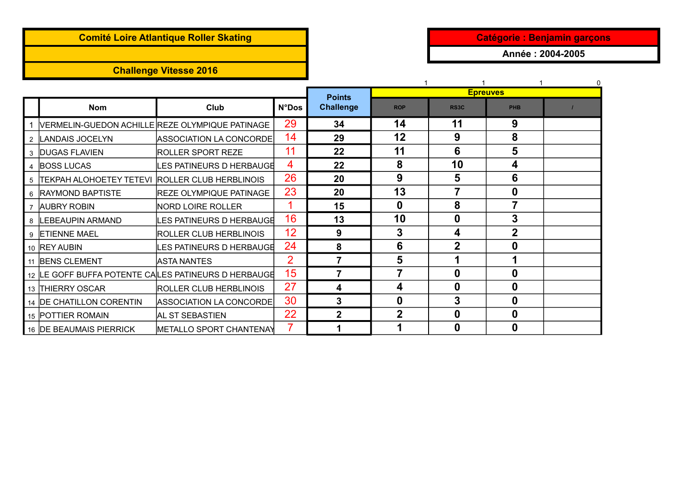## **Comité Loire Atlantique Roller Skating and Catégorie in the Catégorie : Benjamin garçons**

## **Challenge Vitesse 2016**

**Année : 2004-2005**

|   |                                                     |                                |                | <b>Points</b>    |                  |                   | <b>Epreuves</b> |  |
|---|-----------------------------------------------------|--------------------------------|----------------|------------------|------------------|-------------------|-----------------|--|
|   | <b>Nom</b>                                          | Club                           | <b>N°Dos</b>   | <b>Challenge</b> | <b>ROP</b>       | RS <sub>3</sub> C | <b>PHB</b>      |  |
|   | VERMELIN-GUEDON ACHILLE REZE OLYMPIQUE PATINAGE     |                                | 29             | 34               | 14               | 11                | 9               |  |
|   | 2  LANDAIS JOCELYN                                  | ASSOCIATION LA CONCORDE        | 14             | 29               | 12               | 9                 | 8               |  |
|   | 3 DUGAS FLAVIEN                                     | <b>ROLLER SPORT REZE</b>       | 11             | 22               | 11               | 6                 | 5               |  |
|   | 4 BOSS LUCAS                                        | <b>ES PATINEURS D HERBAUGE</b> | 4              | 22               | 8                | 10                | 4               |  |
|   | 5 TEKPAH ALOHOETEY TETEVI ROLLER CLUB HERBLINOIS    |                                | 26             | 20               | 9                | 5                 | 6               |  |
|   | 6 RAYMOND BAPTISTE                                  | REZE OLYMPIQUE PATINAGE        | 23             | 20               | 13               | 7                 | 0               |  |
|   | <b>AUBRY ROBIN</b>                                  | <b>NORD LOIRE ROLLER</b>       |                | 15               | $\mathbf 0$      | 8                 | 7               |  |
|   | <b>LEBEAUPIN ARMAND</b>                             | <b>ES PATINEURS D HERBAUGE</b> | 16             | 13               | 10               | 0                 | 3               |  |
| 9 | <b>ETIENNE MAEL</b>                                 | ROLLER CLUB HERBLINOIS         | 12             | 9                | 3                | 4                 | $\overline{2}$  |  |
|   | 10 REY AUBIN                                        | ES PATINEURS D HERBAUGE        | 24             | 8                | 6                | $\overline{2}$    | 0               |  |
|   | 11 BENS CLEMENT                                     | <b>ASTA NANTES</b>             | $\overline{2}$ | 7                | $5\phantom{1}$   | 1                 |                 |  |
|   | 12 LE GOFF BUFFA POTENTE CALES PATINEURS D HERBAUGE |                                | 15             |                  | 7                | 0                 | 0               |  |
|   | 13 THIERRY OSCAR                                    | ROLLER CLUB HERBLINOIS         | 27             | 4                | 4                | 0                 | 0               |  |
|   | 14 DE CHATILLON CORENTIN                            | ASSOCIATION LA CONCORDE        | 30             | $\mathbf{3}$     | $\boldsymbol{0}$ | 3                 | 0               |  |
|   | 15 POTTIER ROMAIN                                   | AL ST SEBASTIEN                | 22             | $\mathbf{2}$     | $\overline{2}$   | 0                 | 0               |  |
|   | 16 IDE BEAUMAIS PIERRICK                            | <b>METALLO SPORT CHANTENAY</b> | $\overline{7}$ |                  |                  | 0                 | 0               |  |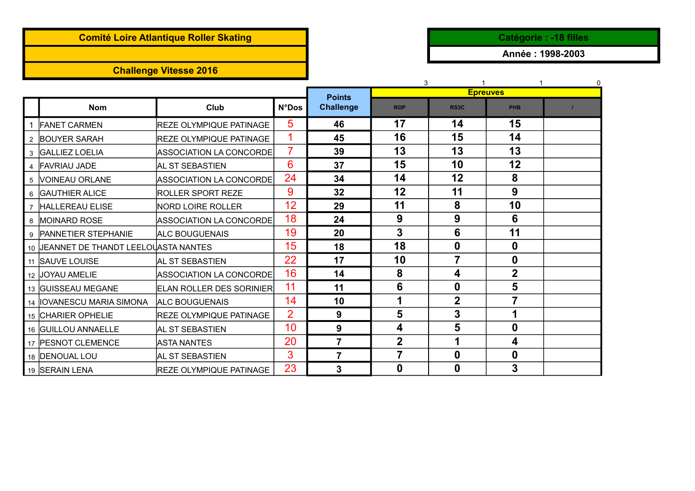## **Comité Loire Atlantique Roller Skating and Catégorie in the Catégorie : -18 filles**

## **Challenge Vitesse 2016**

**Année : 1998-2003**

|  |                                        |                                  |                | 3                |                  |                   | $\Omega$         |  |
|--|----------------------------------------|----------------------------------|----------------|------------------|------------------|-------------------|------------------|--|
|  |                                        |                                  |                | <b>Points</b>    | <b>Epreuves</b>  |                   |                  |  |
|  | <b>Nom</b>                             | Club                             | <b>N°Dos</b>   | <b>Challenge</b> | <b>ROP</b>       | RS <sub>3</sub> C | PHB              |  |
|  | 1 FANET CARMEN                         | <b>IREZE OLYMPIQUE PATINAGE</b>  | 5              | 46               | 17               | 14                | 15               |  |
|  | 2 BOUYER SARAH                         | <b>REZE OLYMPIQUE PATINAGE</b>   |                | 45               | 16               | 15                | 14               |  |
|  | 3  GALLIEZ LOELIA                      | ASSOCIATION LA CONCORDE          | $\overline{7}$ | 39               | 13               | 13                | 13               |  |
|  | 4 FAVRIAU JADE                         | <b>AL ST SEBASTIEN</b>           | 6              | 37               | 15               | 10                | 12               |  |
|  | 5 VOINEAU ORLANE                       | <b>ASSOCIATION LA CONCORDE</b>   | 24             | 34               | 14               | 12                | 8                |  |
|  | 6   GAUTHIER ALICE                     | <b>ROLLER SPORT REZE</b>         | 9              | 32               | 12               | 11                | 9                |  |
|  | 7 HALLEREAU ELISE                      | <b>NORD LOIRE ROLLER</b>         | 12             | 29               | 11               | 8                 | 10               |  |
|  | 8 MOINARD ROSE                         | ASSOCIATION LA CONCORDE          | 18             | 24               | 9                | 9                 | 6                |  |
|  | 9 PANNETIER STEPHANIE                  | <b>ALC BOUGUENAIS</b>            | 19             | 20               | $\mathbf{3}$     | 6                 | 11               |  |
|  | 10 JEANNET DE THANDT LEELOUASTA NANTES |                                  | 15             | 18               | 18               | $\boldsymbol{0}$  | $\boldsymbol{0}$ |  |
|  | 11 SAUVE LOUISE                        | <b>AL ST SEBASTIEN</b>           | 22             | 17               | 10               | 7                 | $\boldsymbol{0}$ |  |
|  | 12 JOYAU AMELIE                        | ASSOCIATION LA CONCORDE          | 16             | 14               | 8                | 4                 | $\overline{2}$   |  |
|  | 13 GUISSEAU MEGANE                     | <b>IELAN ROLLER DES SORINIER</b> | 11             | 11               | 6                | $\boldsymbol{0}$  | 5                |  |
|  | 14 IOVANESCU MARIA SIMONA              | <b>IALC BOUGUENAIS</b>           | 14             | 10               | 1                | $\overline{2}$    |                  |  |
|  | 15 CHARIER OPHELIE                     | <b>REZE OLYMPIQUE PATINAGE</b>   | $\overline{2}$ | 9                | 5                | 3                 |                  |  |
|  | 16  GUILLOU ANNAELLE                   | <b>IAL ST SEBASTIEN</b>          | 10             | 9                | 4                | 5                 | $\boldsymbol{0}$ |  |
|  | 17 PESNOT CLEMENCE                     | IASTA NANTES                     | 20             | 7                | $\overline{2}$   | $\mathbf 1$       | 4                |  |
|  | 18 <b>DENOUAL LOU</b>                  | <b>AL ST SEBASTIEN</b>           | 3              | 7                | $\overline{7}$   | $\boldsymbol{0}$  | $\boldsymbol{0}$ |  |
|  | 19 SERAIN LENA                         | <b>REZE OLYMPIQUE PATINAGE</b>   | 23             | 3                | $\boldsymbol{0}$ | $\boldsymbol{0}$  | 3                |  |